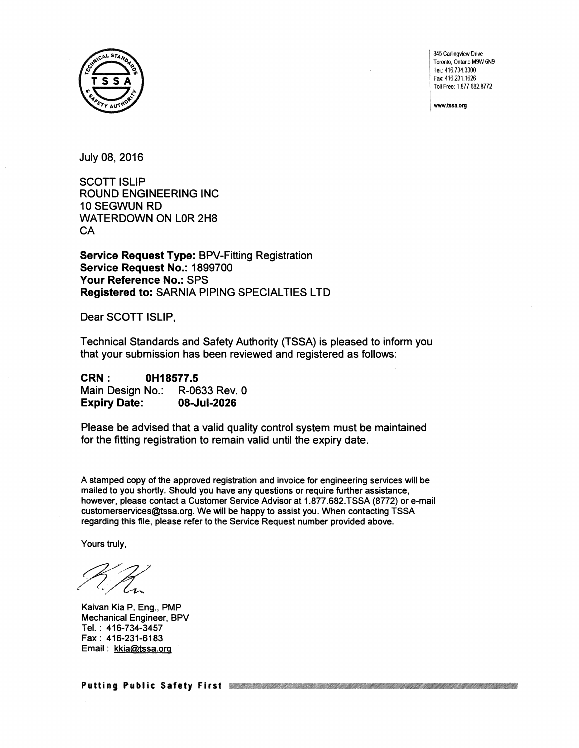

345 Cariingview Drive Toronto, Ontario M9W 6N9 TeL: 416.734.3300 Fax: 416.231.1626 Toll Free: 1.877.682.8772

www.tssa.org

July 08, 2016

SCOTT ISLIP ROUND ENGINEERING INC 10 SEGWUN RD WATERDOWN ON LOR 2H8 **CA** 

**Service Request Type:** BPV-Fitting Registration **Service Request No.:** 1899700 **Your Reference No.:** SPS **Registered to:** SARNIA PIPING SPECIAL TIES LTD

Dear SCOTT ISLIP,

Technical Standards and Safety Authority (TSSA) is pleased to inform you that your submission has been reviewed and registered as follows:

| <b>CRN :</b>        | 0H18577.5     |  |  |  |
|---------------------|---------------|--|--|--|
| Main Design No.:    | R-0633 Rev. 0 |  |  |  |
| <b>Expiry Date:</b> | 08-Jul-2026   |  |  |  |

Please be advised that a valid quality control system must be maintained for the fitting registration to remain valid until the expiry date.

A stamped copy of the approved registration and invoice for engineering services will be mailed to you shortly. Should you have any questions or require further assistance, however, please contact a Customer Service Advisor at 1.877.682.TSSA (8772) or e-mail customerservices@tssa.org. We will be happy to assist you. When contacting TSSA regarding this file, please refer to the Service Request number provided above.

Yours truly,

Kaivan Kia P. Eng., PMP Mechanical Engineer, BPV Tel. : 416-734-3457 Fax: 416-231-6183 Email : kkia@tssa.org

Putting Public Safety First Western Machinese Construction and Machinese Putting Public Safety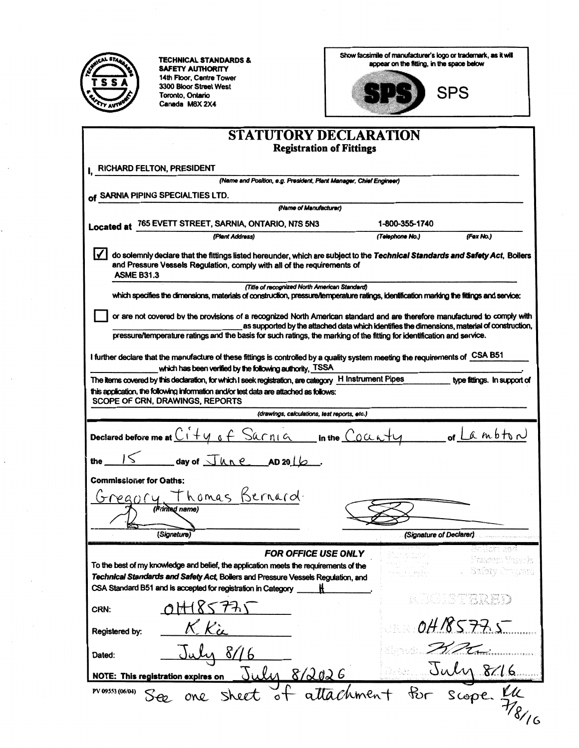

**TECHNICAL STANDARDS &** SAFETY AUTHORITY 14th Floor, Centre Tower 3300 Bloor Street West<br>3300 Bloor Street West<br>Canada M8X 2X4

Show facsimile of manufacturer's logo or trademark, as it will<br>appear on the fitting, in the space below



| <b>STATUTORY DECLARATION</b>                                                                                                                                                                                                                                                                                                                          |                         |                                    |  |  |  |  |  |
|-------------------------------------------------------------------------------------------------------------------------------------------------------------------------------------------------------------------------------------------------------------------------------------------------------------------------------------------------------|-------------------------|------------------------------------|--|--|--|--|--|
| <b>Registration of Fittings</b>                                                                                                                                                                                                                                                                                                                       |                         |                                    |  |  |  |  |  |
| RICHARD FELTON, PRESIDENT                                                                                                                                                                                                                                                                                                                             |                         |                                    |  |  |  |  |  |
| (Name and Position, e.g. President, Plant Manager, Chief Engineer)                                                                                                                                                                                                                                                                                    |                         |                                    |  |  |  |  |  |
| of SARNIA PIPING SPECIALTIES LTD.<br>(Name of Manufacturer)                                                                                                                                                                                                                                                                                           |                         |                                    |  |  |  |  |  |
|                                                                                                                                                                                                                                                                                                                                                       | 1-800-355-1740          |                                    |  |  |  |  |  |
| Located at 765 EVETT STREET, SARNIA, ONTARIO, N7S 5N3<br>(Plant Address)                                                                                                                                                                                                                                                                              | (Fex No.)               |                                    |  |  |  |  |  |
| do solemnly declare that the fittings listed hereunder, which are subject to the Technical Standards and Safety Act, Boilers<br>and Pressure Vessels Regulation, comply with all of the requirements of<br><b>ASME B31.3</b>                                                                                                                          |                         |                                    |  |  |  |  |  |
| (Title of recognized North American Standard)<br>which specifies the dimensions, materials of construction, pressure/temperature ratings, identification marking the fittings and service;                                                                                                                                                            |                         |                                    |  |  |  |  |  |
|                                                                                                                                                                                                                                                                                                                                                       |                         |                                    |  |  |  |  |  |
| or are not covered by the provisions of a recognized North American standard and are therefore manufactured to comply with<br>as supported by the attached data which identifies the dimensions, material of construction,<br>pressure/temperature ratings and the basis for such ratings, the marking of the fitting for identification and service. |                         |                                    |  |  |  |  |  |
| I further declare that the manufacture of these fittings is controlled by a quality system meeting the requirements of CSA B51                                                                                                                                                                                                                        |                         |                                    |  |  |  |  |  |
| which has been verified by the following authority, TSSA<br>The items covered by this declaration, for which I seek registration, are category $H$ Instrument Pipes                                                                                                                                                                                   |                         | type fittings. In support of       |  |  |  |  |  |
| this application, the following information and/or test data are attached as follows:<br>SCOPE OF CRN, DRAWINGS, REPORTS                                                                                                                                                                                                                              |                         |                                    |  |  |  |  |  |
| (drawings, calculations, test reports, etc.)                                                                                                                                                                                                                                                                                                          |                         |                                    |  |  |  |  |  |
| Declared before me at $C_1 + y_6 + S_4$ onlo in the County of Lambton                                                                                                                                                                                                                                                                                 |                         |                                    |  |  |  |  |  |
| $15$ day of $\sqrt{h_1e}$ AD 2016.                                                                                                                                                                                                                                                                                                                    |                         |                                    |  |  |  |  |  |
| <b>Commissioner for Oaths:</b>                                                                                                                                                                                                                                                                                                                        |                         |                                    |  |  |  |  |  |
| Gregory, Thomas Bernard.                                                                                                                                                                                                                                                                                                                              |                         |                                    |  |  |  |  |  |
| (Frinted name)                                                                                                                                                                                                                                                                                                                                        |                         |                                    |  |  |  |  |  |
| (Signature)                                                                                                                                                                                                                                                                                                                                           | (Signature of Declarer) |                                    |  |  |  |  |  |
|                                                                                                                                                                                                                                                                                                                                                       |                         | Gollom and                         |  |  |  |  |  |
| <b>FOR OFFICE USE ONLY</b><br>To the best of my knowledge and belief, the application meets the requirements of the<br>Technical Standards and Safety Act, Boilers and Pressure Vessels Regulation, and                                                                                                                                               |                         | Freemra Ynceph<br>Safety Emigratic |  |  |  |  |  |
| CSA Standard B51 and is accepted for registration in Category                                                                                                                                                                                                                                                                                         |                         | ruge i Sterr BD                    |  |  |  |  |  |
| CRN:                                                                                                                                                                                                                                                                                                                                                  |                         | 04185775                           |  |  |  |  |  |
| Registered by:                                                                                                                                                                                                                                                                                                                                        |                         |                                    |  |  |  |  |  |
| Dated:                                                                                                                                                                                                                                                                                                                                                |                         |                                    |  |  |  |  |  |
| July 8/2026<br><b>NOTE: This registration expires on</b>                                                                                                                                                                                                                                                                                              |                         | July 8/16                          |  |  |  |  |  |
| attachment for scope.<br>PV 09553 (06/04)<br>Sheet<br>$\circ$ t<br>one                                                                                                                                                                                                                                                                                |                         |                                    |  |  |  |  |  |